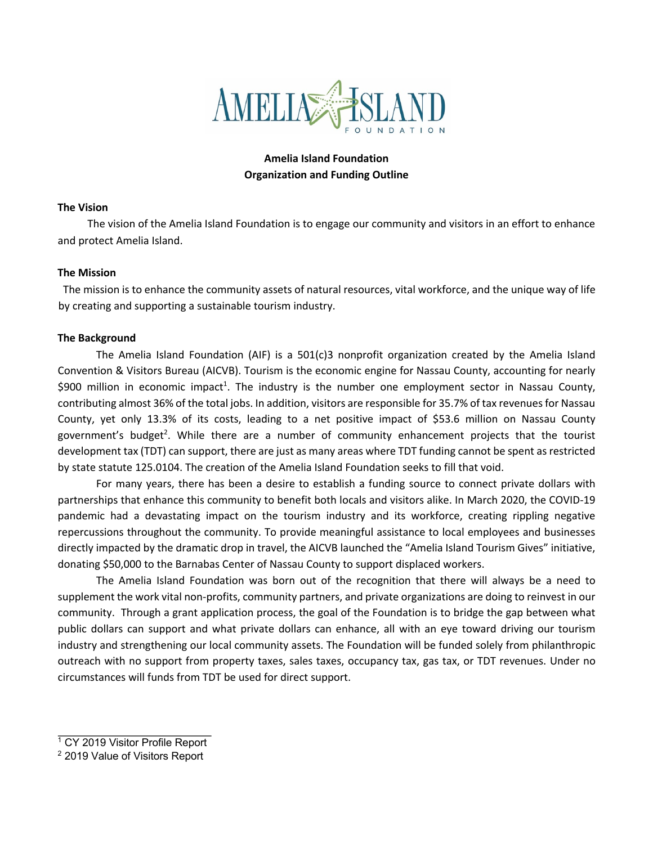

# **Amelia Island Foundation Organization and Funding Outline**

### **The Vision**

The vision of the Amelia Island Foundation is to engage our community and visitors in an effort to enhance and protect Amelia Island.

### **The Mission**

 The mission is to enhance the community assets of natural resources, vital workforce, and the unique way of life by creating and supporting a sustainable tourism industry.

### **The Background**

The Amelia Island Foundation (AIF) is a 501(c)3 nonprofit organization created by the Amelia Island Convention & Visitors Bureau (AICVB). Tourism is the economic engine for Nassau County, accounting for nearly \$900 million in economic impact<sup>1</sup>. The industry is the number one employment sector in Nassau County, contributing almost 36% of the total jobs. In addition, visitors are responsible for 35.7% of tax revenues for Nassau County, yet only 13.3% of its costs, leading to a net positive impact of \$53.6 million on Nassau County government's budget<sup>2</sup>. While there are a number of community enhancement projects that the tourist development tax (TDT) can support, there are just as many areas where TDT funding cannot be spent as restricted by state statute 125.0104. The creation of the Amelia Island Foundation seeks to fill that void.

For many years, there has been a desire to establish a funding source to connect private dollars with partnerships that enhance this community to benefit both locals and visitors alike. In March 2020, the COVID-19 pandemic had a devastating impact on the tourism industry and its workforce, creating rippling negative repercussions throughout the community. To provide meaningful assistance to local employees and businesses directly impacted by the dramatic drop in travel, the AICVB launched the "Amelia Island Tourism Gives" initiative, donating \$50,000 to the Barnabas Center of Nassau County to support displaced workers.

The Amelia Island Foundation was born out of the recognition that there will always be a need to supplement the work vital non-profits, community partners, and private organizations are doing to reinvest in our community. Through a grant application process, the goal of the Foundation is to bridge the gap between what public dollars can support and what private dollars can enhance, all with an eye toward driving our tourism industry and strengthening our local community assets. The Foundation will be funded solely from philanthropic outreach with no support from property taxes, sales taxes, occupancy tax, gas tax, or TDT revenues. Under no circumstances will funds from TDT be used for direct support.

 $1$  CY 2019 Visitor Profile Report

<sup>2</sup> 2019 Value of Visitors Report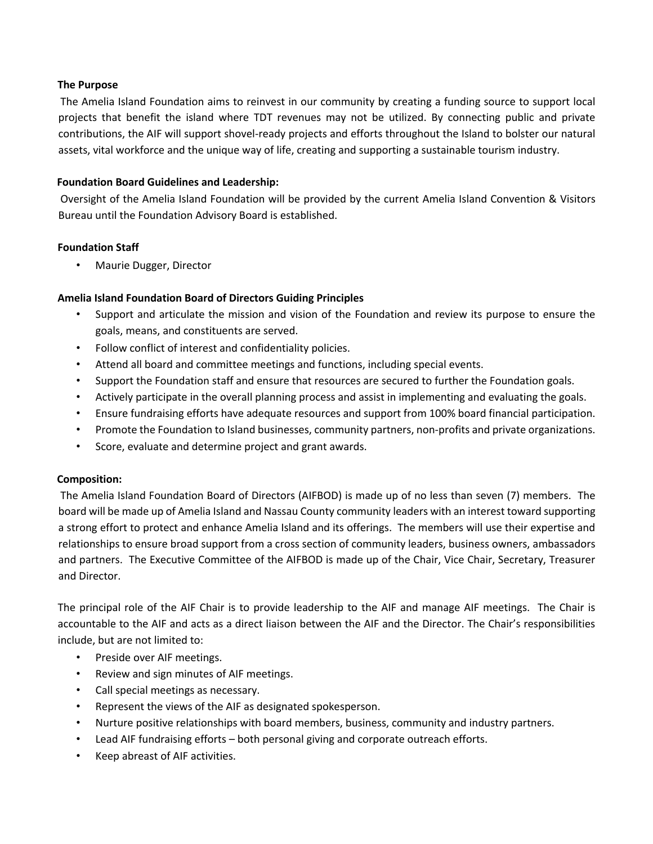## **The Purpose**

The Amelia Island Foundation aims to reinvest in our community by creating a funding source to support local projects that benefit the island where TDT revenues may not be utilized. By connecting public and private contributions, the AIF will support shovel-ready projects and efforts throughout the Island to bolster our natural assets, vital workforce and the unique way of life, creating and supporting a sustainable tourism industry.

## **Foundation Board Guidelines and Leadership:**

Oversight of the Amelia Island Foundation will be provided by the current Amelia Island Convention & Visitors Bureau until the Foundation Advisory Board is established.

## **Foundation Staff**

• Maurie Dugger, Director

## **Amelia Island Foundation Board of Directors Guiding Principles**

- Support and articulate the mission and vision of the Foundation and review its purpose to ensure the goals, means, and constituents are served.
- Follow conflict of interest and confidentiality policies.
- Attend all board and committee meetings and functions, including special events.
- Support the Foundation staff and ensure that resources are secured to further the Foundation goals.
- Actively participate in the overall planning process and assist in implementing and evaluating the goals.
- Ensure fundraising efforts have adequate resources and support from 100% board financial participation.
- Promote the Foundation to Island businesses, community partners, non-profits and private organizations.
- Score, evaluate and determine project and grant awards.

## **Composition:**

The Amelia Island Foundation Board of Directors (AIFBOD) is made up of no less than seven (7) members. The board will be made up of Amelia Island and Nassau County community leaders with an interest toward supporting a strong effort to protect and enhance Amelia Island and its offerings. The members will use their expertise and relationships to ensure broad support from a cross section of community leaders, business owners, ambassadors and partners. The Executive Committee of the AIFBOD is made up of the Chair, Vice Chair, Secretary, Treasurer and Director.

The principal role of the AIF Chair is to provide leadership to the AIF and manage AIF meetings. The Chair is accountable to the AIF and acts as a direct liaison between the AIF and the Director. The Chair's responsibilities include, but are not limited to:

- Preside over AIF meetings.
- Review and sign minutes of AIF meetings.
- Call special meetings as necessary.
- Represent the views of the AIF as designated spokesperson.
- Nurture positive relationships with board members, business, community and industry partners.
- Lead AIF fundraising efforts both personal giving and corporate outreach efforts.
- Keep abreast of AIF activities.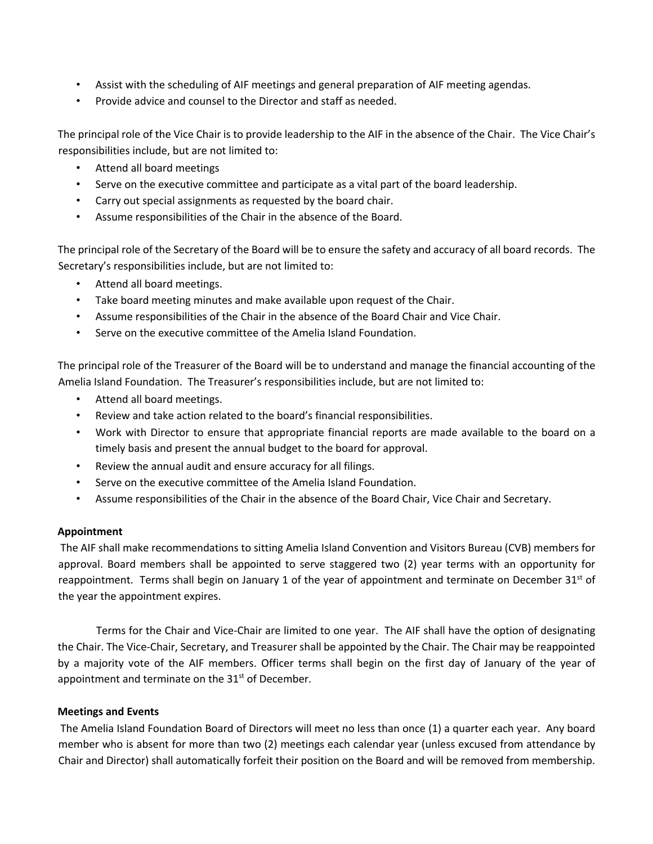- Assist with the scheduling of AIF meetings and general preparation of AIF meeting agendas.
- Provide advice and counsel to the Director and staff as needed.

The principal role of the Vice Chair is to provide leadership to the AIF in the absence of the Chair. The Vice Chair's responsibilities include, but are not limited to:

- Attend all board meetings
- Serve on the executive committee and participate as a vital part of the board leadership.
- Carry out special assignments as requested by the board chair.
- Assume responsibilities of the Chair in the absence of the Board.

The principal role of the Secretary of the Board will be to ensure the safety and accuracy of all board records. The Secretary's responsibilities include, but are not limited to:

- Attend all board meetings.
- Take board meeting minutes and make available upon request of the Chair.
- Assume responsibilities of the Chair in the absence of the Board Chair and Vice Chair.
- Serve on the executive committee of the Amelia Island Foundation.

The principal role of the Treasurer of the Board will be to understand and manage the financial accounting of the Amelia Island Foundation. The Treasurer's responsibilities include, but are not limited to:

- Attend all board meetings.
- Review and take action related to the board's financial responsibilities.
- Work with Director to ensure that appropriate financial reports are made available to the board on a timely basis and present the annual budget to the board for approval.
- Review the annual audit and ensure accuracy for all filings.
- Serve on the executive committee of the Amelia Island Foundation.
- Assume responsibilities of the Chair in the absence of the Board Chair, Vice Chair and Secretary.

## **Appointment**

The AIF shall make recommendations to sitting Amelia Island Convention and Visitors Bureau (CVB) members for approval. Board members shall be appointed to serve staggered two (2) year terms with an opportunity for reappointment. Terms shall begin on January 1 of the year of appointment and terminate on December 31<sup>st</sup> of the year the appointment expires.

Terms for the Chair and Vice-Chair are limited to one year. The AIF shall have the option of designating the Chair. The Vice-Chair, Secretary, and Treasurer shall be appointed by the Chair. The Chair may be reappointed by a majority vote of the AIF members. Officer terms shall begin on the first day of January of the year of appointment and terminate on the  $31<sup>st</sup>$  of December.

## **Meetings and Events**

The Amelia Island Foundation Board of Directors will meet no less than once (1) a quarter each year. Any board member who is absent for more than two (2) meetings each calendar year (unless excused from attendance by Chair and Director) shall automatically forfeit their position on the Board and will be removed from membership.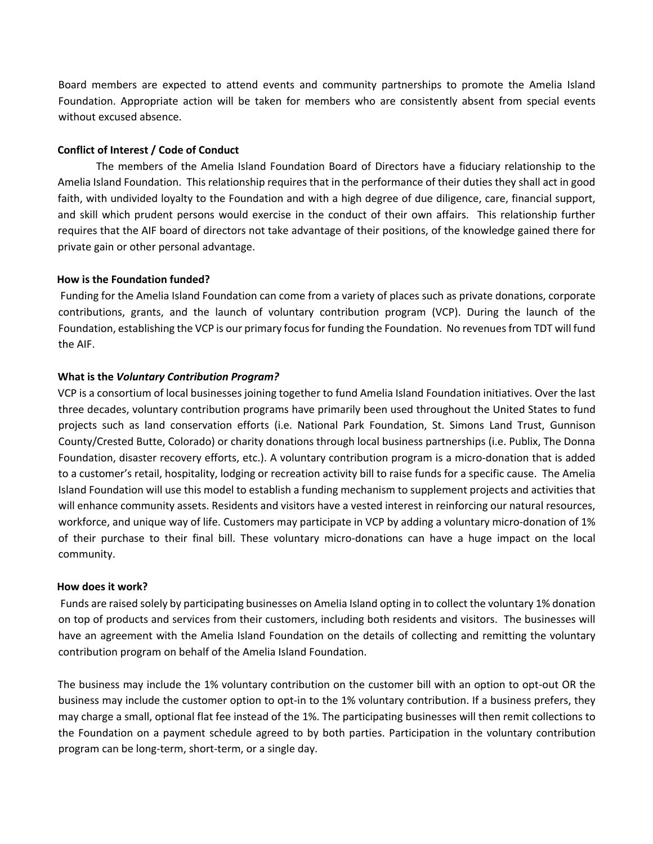Board members are expected to attend events and community partnerships to promote the Amelia Island Foundation. Appropriate action will be taken for members who are consistently absent from special events without excused absence.

### **Conflict of Interest / Code of Conduct**

The members of the Amelia Island Foundation Board of Directors have a fiduciary relationship to the Amelia Island Foundation. This relationship requires that in the performance of their duties they shall act in good faith, with undivided loyalty to the Foundation and with a high degree of due diligence, care, financial support, and skill which prudent persons would exercise in the conduct of their own affairs. This relationship further requires that the AIF board of directors not take advantage of their positions, of the knowledge gained there for private gain or other personal advantage.

#### **How is the Foundation funded?**

Funding for the Amelia Island Foundation can come from a variety of places such as private donations, corporate contributions, grants, and the launch of voluntary contribution program (VCP). During the launch of the Foundation, establishing the VCP is our primary focus for funding the Foundation. No revenues from TDT will fund the AIF.

### **What is the** *Voluntary Contribution Program?*

VCP is a consortium of local businesses joining together to fund Amelia Island Foundation initiatives. Over the last three decades, voluntary contribution programs have primarily been used throughout the United States to fund projects such as land conservation efforts (i.e. National Park Foundation, St. Simons Land Trust, Gunnison County/Crested Butte, Colorado) or charity donations through local business partnerships (i.e. Publix, The Donna Foundation, disaster recovery efforts, etc.). A voluntary contribution program is a micro-donation that is added to a customer's retail, hospitality, lodging or recreation activity bill to raise funds for a specific cause. The Amelia Island Foundation will use this model to establish a funding mechanism to supplement projects and activities that will enhance community assets. Residents and visitors have a vested interest in reinforcing our natural resources, workforce, and unique way of life. Customers may participate in VCP by adding a voluntary micro-donation of 1% of their purchase to their final bill. These voluntary micro-donations can have a huge impact on the local community.

#### **How does it work?**

Funds are raised solely by participating businesses on Amelia Island opting in to collect the voluntary 1% donation on top of products and services from their customers, including both residents and visitors. The businesses will have an agreement with the Amelia Island Foundation on the details of collecting and remitting the voluntary contribution program on behalf of the Amelia Island Foundation.

The business may include the 1% voluntary contribution on the customer bill with an option to opt-out OR the business may include the customer option to opt-in to the 1% voluntary contribution. If a business prefers, they may charge a small, optional flat fee instead of the 1%. The participating businesses will then remit collections to the Foundation on a payment schedule agreed to by both parties. Participation in the voluntary contribution program can be long-term, short-term, or a single day.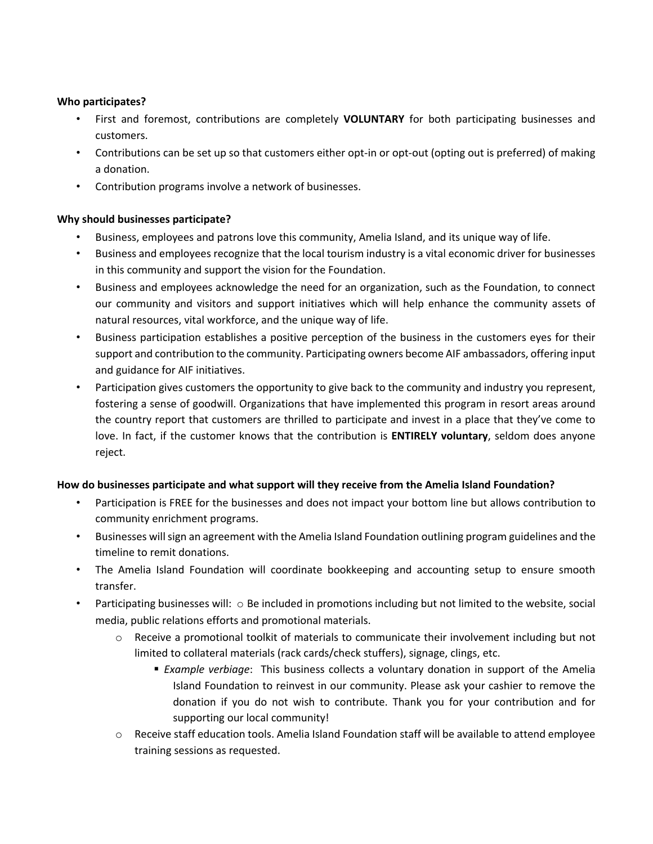## **Who participates?**

- First and foremost, contributions are completely **VOLUNTARY** for both participating businesses and customers.
- Contributions can be set up so that customers either opt-in or opt-out (opting out is preferred) of making a donation.
- Contribution programs involve a network of businesses.

# **Why should businesses participate?**

- Business, employees and patrons love this community, Amelia Island, and its unique way of life.
- Business and employees recognize that the local tourism industry is a vital economic driver for businesses in this community and support the vision for the Foundation.
- Business and employees acknowledge the need for an organization, such as the Foundation, to connect our community and visitors and support initiatives which will help enhance the community assets of natural resources, vital workforce, and the unique way of life.
- Business participation establishes a positive perception of the business in the customers eyes for their support and contribution to the community. Participating owners become AIF ambassadors, offering input and guidance for AIF initiatives.
- Participation gives customers the opportunity to give back to the community and industry you represent, fostering a sense of goodwill. Organizations that have implemented this program in resort areas around the country report that customers are thrilled to participate and invest in a place that they've come to love. In fact, if the customer knows that the contribution is **ENTIRELY voluntary**, seldom does anyone reject.

# **How do businesses participate and what support will they receive from the Amelia Island Foundation?**

- Participation is FREE for the businesses and does not impact your bottom line but allows contribution to community enrichment programs.
- Businesses will sign an agreement with the Amelia Island Foundation outlining program guidelines and the timeline to remit donations.
- The Amelia Island Foundation will coordinate bookkeeping and accounting setup to ensure smooth transfer.
- Participating businesses will:  $\circ$  Be included in promotions including but not limited to the website, social media, public relations efforts and promotional materials.
	- o Receive a promotional toolkit of materials to communicate their involvement including but not limited to collateral materials (rack cards/check stuffers), signage, clings, etc.
		- § *Example verbiage*: This business collects a voluntary donation in support of the Amelia Island Foundation to reinvest in our community. Please ask your cashier to remove the donation if you do not wish to contribute. Thank you for your contribution and for supporting our local community!
	- $\circ$  Receive staff education tools. Amelia Island Foundation staff will be available to attend employee training sessions as requested.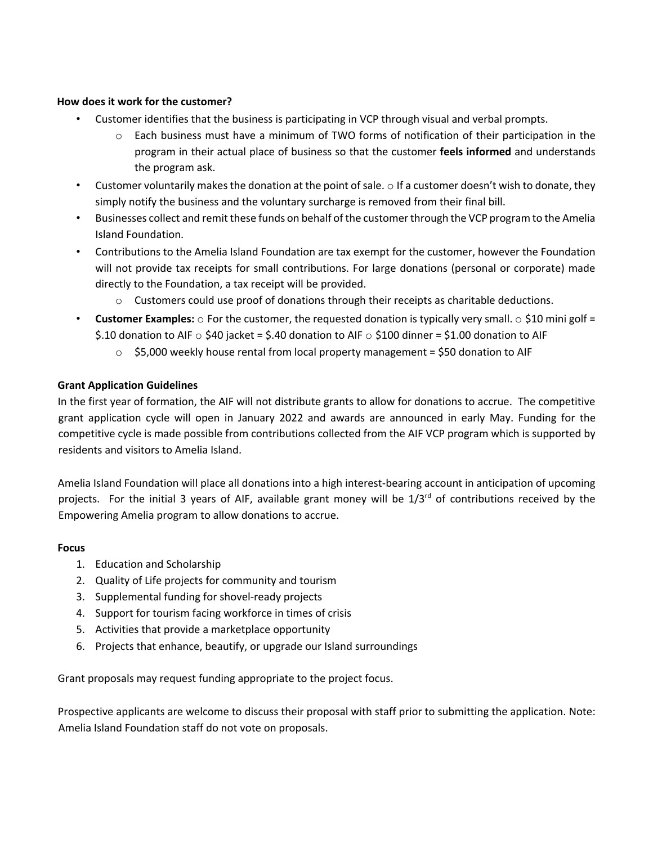## **How does it work for the customer?**

- Customer identifies that the business is participating in VCP through visual and verbal prompts.
	- $\circ$  Each business must have a minimum of TWO forms of notification of their participation in the program in their actual place of business so that the customer **feels informed** and understands the program ask.
- Customer voluntarily makes the donation at the point of sale.  $\circ$  If a customer doesn't wish to donate, they simply notify the business and the voluntary surcharge is removed from their final bill.
- Businesses collect and remit these funds on behalf of the customer through the VCP program to the Amelia Island Foundation.
- Contributions to the Amelia Island Foundation are tax exempt for the customer, however the Foundation will not provide tax receipts for small contributions. For large donations (personal or corporate) made directly to the Foundation, a tax receipt will be provided.
	- $\circ$  Customers could use proof of donations through their receipts as charitable deductions.
- **Customer Examples:**  $\circ$  For the customer, the requested donation is typically very small.  $\circ$  \$10 mini golf = \$.10 donation to AIF  $\circ$  \$40 jacket = \$.40 donation to AIF  $\circ$  \$100 dinner = \$1.00 donation to AIF
	- $\circ$  \$5,000 weekly house rental from local property management = \$50 donation to AIF

## **Grant Application Guidelines**

In the first year of formation, the AIF will not distribute grants to allow for donations to accrue. The competitive grant application cycle will open in January 2022 and awards are announced in early May. Funding for the competitive cycle is made possible from contributions collected from the AIF VCP program which is supported by residents and visitors to Amelia Island.

Amelia Island Foundation will place all donations into a high interest-bearing account in anticipation of upcoming projects. For the initial 3 years of AIF, available grant money will be  $1/3^{rd}$  of contributions received by the Empowering Amelia program to allow donations to accrue.

#### **Focus**

- 1. Education and Scholarship
- 2. Quality of Life projects for community and tourism
- 3. Supplemental funding for shovel-ready projects
- 4. Support for tourism facing workforce in times of crisis
- 5. Activities that provide a marketplace opportunity
- 6. Projects that enhance, beautify, or upgrade our Island surroundings

Grant proposals may request funding appropriate to the project focus.

Prospective applicants are welcome to discuss their proposal with staff prior to submitting the application. Note: Amelia Island Foundation staff do not vote on proposals.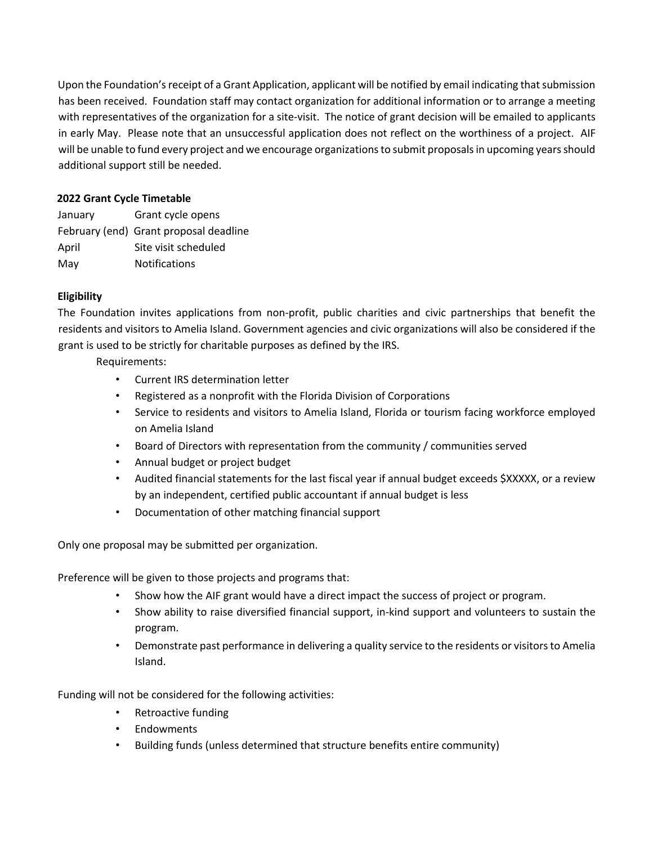Upon the Foundation's receipt of a Grant Application, applicant will be notified by email indicating that submission has been received. Foundation staff may contact organization for additional information or to arrange a meeting with representatives of the organization for a site-visit. The notice of grant decision will be emailed to applicants in early May. Please note that an unsuccessful application does not reflect on the worthiness of a project. AIF will be unable to fund every project and we encourage organizations to submit proposals in upcoming years should additional support still be needed.

## **2022 Grant Cycle Timetable**

| January | Grant cycle opens                      |
|---------|----------------------------------------|
|         | February (end) Grant proposal deadline |
| April   | Site visit scheduled                   |
| May     | <b>Notifications</b>                   |

# **Eligibility**

The Foundation invites applications from non-profit, public charities and civic partnerships that benefit the residents and visitors to Amelia Island. Government agencies and civic organizations will also be considered if the grant is used to be strictly for charitable purposes as defined by the IRS.

Requirements:

- Current IRS determination letter
- Registered as a nonprofit with the Florida Division of Corporations
- Service to residents and visitors to Amelia Island, Florida or tourism facing workforce employed on Amelia Island
- Board of Directors with representation from the community / communities served
- Annual budget or project budget
- Audited financial statements for the last fiscal year if annual budget exceeds \$XXXXX, or a review by an independent, certified public accountant if annual budget is less
- Documentation of other matching financial support

Only one proposal may be submitted per organization.

Preference will be given to those projects and programs that:

- Show how the AIF grant would have a direct impact the success of project or program.
- Show ability to raise diversified financial support, in-kind support and volunteers to sustain the program.
- Demonstrate past performance in delivering a quality service to the residents or visitors to Amelia Island.

Funding will not be considered for the following activities:

- Retroactive funding
- Endowments
- Building funds (unless determined that structure benefits entire community)